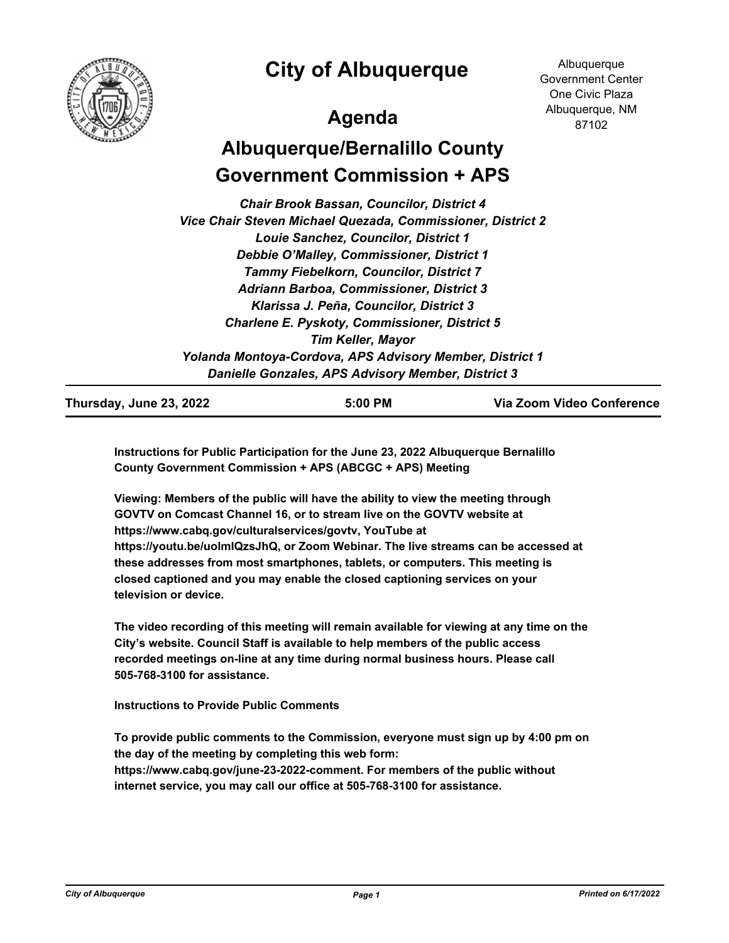

**City of Albuquerque**

## **Agenda**

**Albuquerque** Government Center One Civic Plaza Albuquerque, NM 87102

# **Albuquerque/Bernalillo County Government Commission + APS**

*Chair Brook Bassan, Councilor, District 4 Vice Chair Steven Michael Quezada, Commissioner, District 2 Louie Sanchez, Councilor, District 1 Debbie O'Malley, Commissioner, District 1 Tammy Fiebelkorn, Councilor, District 7 Adriann Barboa, Commissioner, District 3 Klarissa J. Peña, Councilor, District 3 Charlene E. Pyskoty, Commissioner, District 5 Tim Keller, Mayor Yolanda Montoya-Cordova, APS Advisory Member, District 1 Danielle Gonzales, APS Advisory Member, District 3*

**Thursday, June 23, 2022 5:00 PM Via Zoom Video Conference**

**Instructions for Public Participation for the June 23, 2022 Albuquerque Bernalillo County Government Commission + APS (ABCGC + APS) Meeting**

**Viewing: Members of the public will have the ability to view the meeting through GOVTV on Comcast Channel 16, or to stream live on the GOVTV website at https://www.cabq.gov/culturalservices/govtv, YouTube at https://youtu.be/uolmIQzsJhQ, or Zoom Webinar. The live streams can be accessed at these addresses from most smartphones, tablets, or computers. This meeting is closed captioned and you may enable the closed captioning services on your television or device.**

**The video recording of this meeting will remain available for viewing at any time on the City's website. Council Staff is available to help members of the public access recorded meetings on-line at any time during normal business hours. Please call 505-768-3100 for assistance.**

**Instructions to Provide Public Comments**

**To provide public comments to the Commission, everyone must sign up by 4:00 pm on the day of the meeting by completing this web form: https://www.cabq.gov/june-23-2022-comment. For members of the public without internet service, you may call our office at 505-768-3100 for assistance.**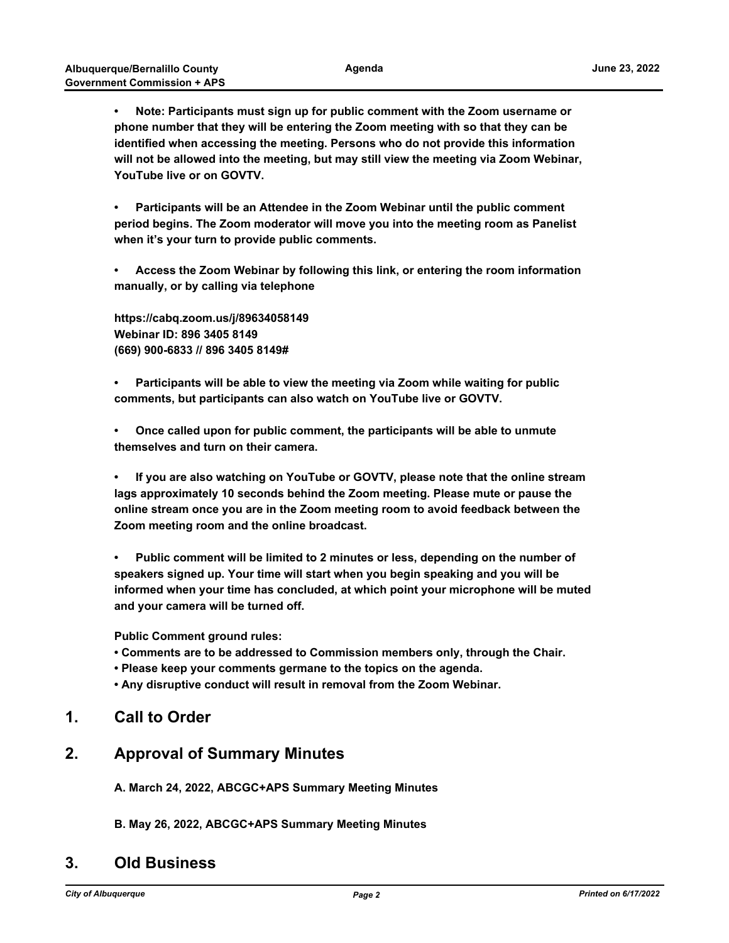**• Note: Participants must sign up for public comment with the Zoom username or phone number that they will be entering the Zoom meeting with so that they can be identified when accessing the meeting. Persons who do not provide this information will not be allowed into the meeting, but may still view the meeting via Zoom Webinar, YouTube live or on GOVTV.** 

**• Participants will be an Attendee in the Zoom Webinar until the public comment period begins. The Zoom moderator will move you into the meeting room as Panelist when it's your turn to provide public comments.**

**• Access the Zoom Webinar by following this link, or entering the room information manually, or by calling via telephone**

**https://cabq.zoom.us/j/89634058149 Webinar ID: 896 3405 8149 (669) 900-6833 // 896 3405 8149#**

**• Participants will be able to view the meeting via Zoom while waiting for public comments, but participants can also watch on YouTube live or GOVTV.**

**• Once called upon for public comment, the participants will be able to unmute themselves and turn on their camera.**

**• If you are also watching on YouTube or GOVTV, please note that the online stream lags approximately 10 seconds behind the Zoom meeting. Please mute or pause the online stream once you are in the Zoom meeting room to avoid feedback between the Zoom meeting room and the online broadcast.**

**• Public comment will be limited to 2 minutes or less, depending on the number of speakers signed up. Your time will start when you begin speaking and you will be informed when your time has concluded, at which point your microphone will be muted and your camera will be turned off.**

**Public Comment ground rules:**

**• Comments are to be addressed to Commission members only, through the Chair.**

- **Please keep your comments germane to the topics on the agenda.**
- **Any disruptive conduct will result in removal from the Zoom Webinar.**

### **1. Call to Order**

#### **2. Approval of Summary Minutes**

**A. March 24, 2022, ABCGC+APS Summary Meeting Minutes**

**B. May 26, 2022, ABCGC+APS Summary Meeting Minutes**

#### **3. Old Business**